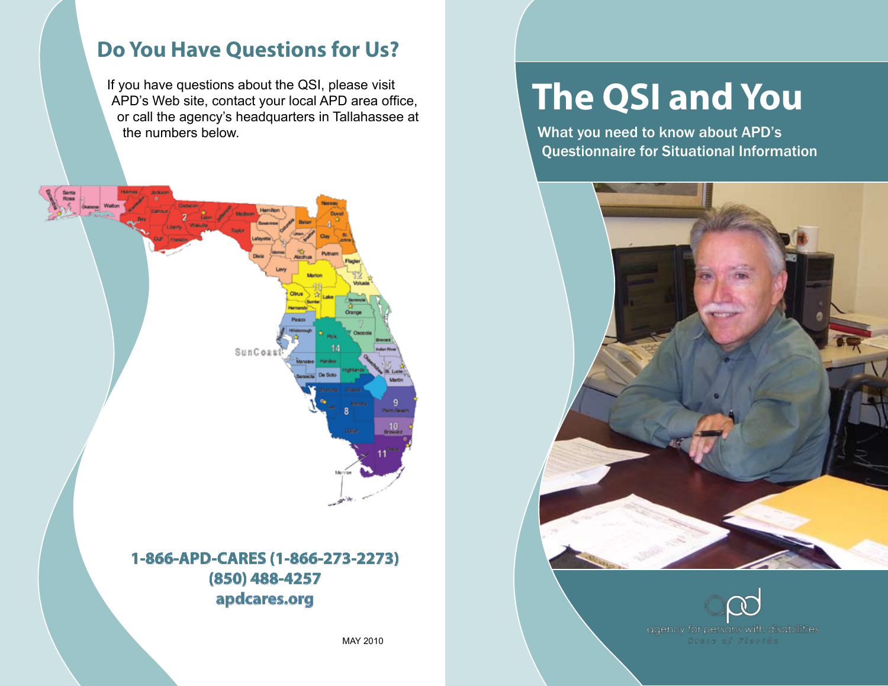### **Do You Have Questions for Us?**

If you have questions about the QSI, please visit APD's Web site, contact your local APD area office, or call the agency's headquarters in Tallahassee at the numbers below.



#### **1-866-APD-CARES (1-866-273-2273) (850) 488-4257 apdcares.or g**

MAY 2010

# **The QSI and You**

What you need to know about APD's Questionnaire for Situational Information